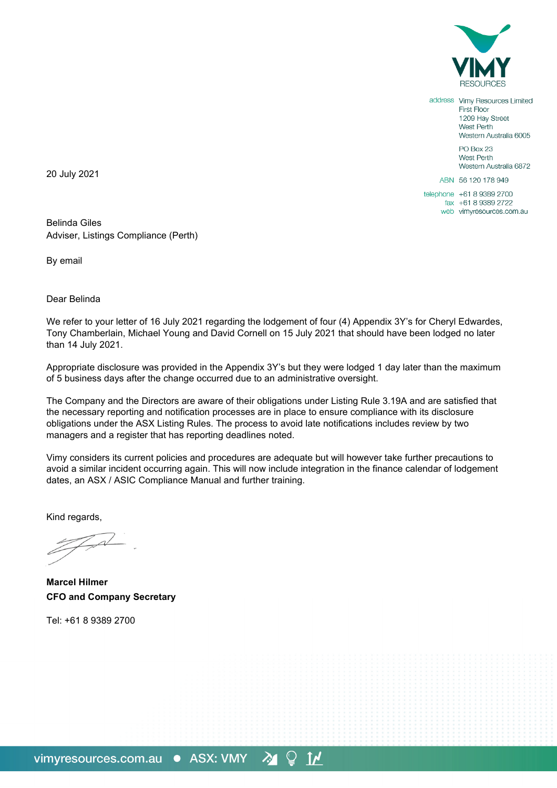

address Vimy Resources Limited First Floor 1209 Hay Street West Perth Western Australia 6005 PO Box 23 West Perth Western Australia 6872 ABN 56 120 178 949 telephone +61 8 9389 2700 fax +61 8 9389 2722

web vimyresources.com.au

20 July 2021

Belinda Giles Adviser, Listings Compliance (Perth)

By email

Dear Belinda

We refer to your letter of 16 July 2021 regarding the lodgement of four (4) Appendix 3Y's for Cheryl Edwardes, Tony Chamberlain, Michael Young and David Cornell on 15 July 2021 that should have been lodged no later than 14 July 2021.

Appropriate disclosure was provided in the Appendix 3Y's but they were lodged 1 day later than the maximum of 5 business days after the change occurred due to an administrative oversight.

The Company and the Directors are aware of their obligations under Listing Rule 3.19A and are satisfied that the necessary reporting and notification processes are in place to ensure compliance with its disclosure obligations under the ASX Listing Rules. The process to avoid late notifications includes review by two managers and a register that has reporting deadlines noted.

Vimy considers its current policies and procedures are adequate but will however take further precautions to avoid a similar incident occurring again. This will now include integration in the finance calendar of lodgement dates, an ASX / ASIC Compliance Manual and further training.

 $\mathbf{I}$ 

Kind regards,

**Marcel Hilmer CFO and Company Secretary**

Tel: +61 8 9389 2700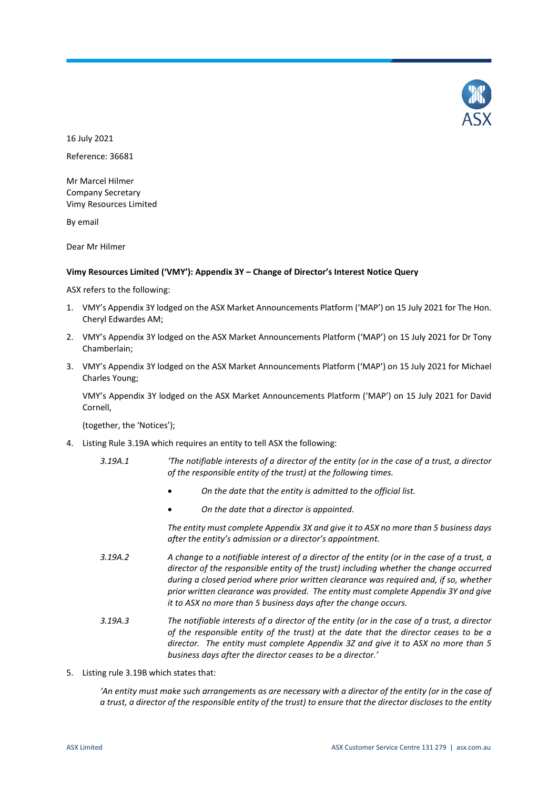

16 July 2021 Reference: 36681

Mr Marcel Hilmer Company Secretary Vimy Resources Limited

By email

Dear Mr Hilmer

# **Vimy Resources Limited ('VMY'): Appendix 3Y – Change of Director's Interest Notice Query**

ASX refers to the following:

- 1. VMY's Appendix 3Y lodged on the ASX Market Announcements Platform ('MAP') on 15 July 2021 for The Hon. Cheryl Edwardes AM;
- 2. VMY's Appendix 3Y lodged on the ASX Market Announcements Platform ('MAP') on 15 July 2021 for Dr Tony Chamberlain;
- 3. VMY's Appendix 3Y lodged on the ASX Market Announcements Platform ('MAP') on 15 July 2021 for Michael Charles Young;

VMY's Appendix 3Y lodged on the ASX Market Announcements Platform ('MAP') on 15 July 2021 for David Cornell,

(together, the 'Notices');

- 4. Listing Rule 3.19A which requires an entity to tell ASX the following:
	- *3.19A.1 'The notifiable interests of a director of the entity (or in the case of a trust, a director of the responsible entity of the trust) at the following times.*
		- *On the date that the entity is admitted to the official list.*
		- *On the date that a director is appointed.*

*The entity must complete Appendix 3X and give it to ASX no more than 5 business days after the entity's admission or a director's appointment.* 

- *3.19A.2 A change to a notifiable interest of a director of the entity (or in the case of a trust, a director of the responsible entity of the trust) including whether the change occurred during a closed period where prior written clearance was required and, if so, whether prior written clearance was provided. The entity must complete Appendix 3Y and give it to ASX no more than 5 business days after the change occurs.*
- *3.19A.3 The notifiable interests of a director of the entity (or in the case of a trust, a director of the responsible entity of the trust) at the date that the director ceases to be a director. The entity must complete Appendix 3Z and give it to ASX no more than 5 business days after the director ceases to be a director.'*
- 5. Listing rule 3.19B which states that:

*'An entity must make such arrangements as are necessary with a director of the entity (or in the case of a trust, a director of the responsible entity of the trust) to ensure that the director discloses to the entity*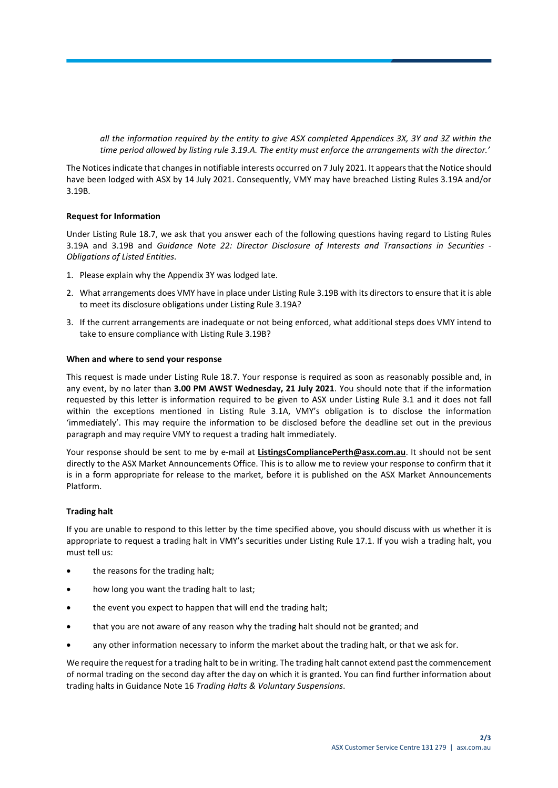*all the information required by the entity to give ASX completed Appendices 3X, 3Y and 3Z within the time period allowed by listing rule 3.19.A. The entity must enforce the arrangements with the director.'*

The Noticesindicate that changes in notifiable interests occurred on 7 July 2021. It appears that the Notice should have been lodged with ASX by 14 July 2021. Consequently, VMY may have breached Listing Rules 3.19A and/or 3.19B.

## **Request for Information**

Under Listing Rule 18.7, we ask that you answer each of the following questions having regard to Listing Rules 3.19A and 3.19B and *Guidance Note 22: Director Disclosure of Interests and Transactions in Securities - Obligations of Listed Entities*.

- 1. Please explain why the Appendix 3Y was lodged late.
- 2. What arrangements does VMY have in place under Listing Rule 3.19B with its directors to ensure that it is able to meet its disclosure obligations under Listing Rule 3.19A?
- 3. If the current arrangements are inadequate or not being enforced, what additional steps does VMY intend to take to ensure compliance with Listing Rule 3.19B?

#### **When and where to send your response**

This request is made under Listing Rule 18.7. Your response is required as soon as reasonably possible and, in any event, by no later than **3.00 PM AWST Wednesday, 21 July 2021**. You should note that if the information requested by this letter is information required to be given to ASX under Listing Rule 3.1 and it does not fall within the exceptions mentioned in Listing Rule 3.1A, VMY's obligation is to disclose the information 'immediately'. This may require the information to be disclosed before the deadline set out in the previous paragraph and may require VMY to request a trading halt immediately.

Your response should be sent to me by e-mail at **ListingsCompliancePerth@asx.com.au**. It should not be sent directly to the ASX Market Announcements Office. This is to allow me to review your response to confirm that it is in a form appropriate for release to the market, before it is published on the ASX Market Announcements Platform.

#### **Trading halt**

If you are unable to respond to this letter by the time specified above, you should discuss with us whether it is appropriate to request a trading halt in VMY's securities under Listing Rule 17.1. If you wish a trading halt, you must tell us:

- the reasons for the trading halt;
- how long you want the trading halt to last;
- the event you expect to happen that will end the trading halt;
- that you are not aware of any reason why the trading halt should not be granted; and
- any other information necessary to inform the market about the trading halt, or that we ask for.

We require the request for a trading halt to be in writing. The trading halt cannot extend past the commencement of normal trading on the second day after the day on which it is granted. You can find further information about trading halts in Guidance Note 16 *Trading Halts & Voluntary Suspensions*.